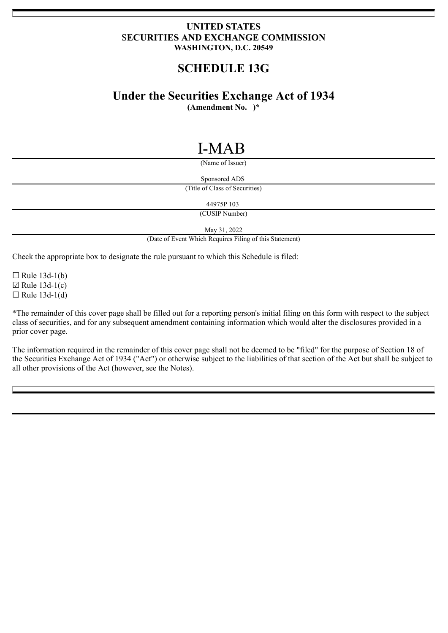# **UNITED STATES** S**ECURITIES AND EXCHANGE COMMISSION WASHINGTON, D.C. 20549**

# **SCHEDULE 13G**

# **Under the Securities Exchange Act of 1934**

**(Amendment No. )\***

# I-MAB

(Name of Issuer)

Sponsored ADS

(Title of Class of Securities)

44975P 103

(CUSIP Number)

May 31, 2022

(Date of Event Which Requires Filing of this Statement)

Check the appropriate box to designate the rule pursuant to which this Schedule is filed:

 $\Box$  Rule 13d-1(b)  $\boxtimes$  Rule 13d-1(c)  $\Box$  Rule 13d-1(d)

\*The remainder of this cover page shall be filled out for a reporting person's initial filing on this form with respect to the subject class of securities, and for any subsequent amendment containing information which would alter the disclosures provided in a prior cover page.

The information required in the remainder of this cover page shall not be deemed to be "filed" for the purpose of Section 18 of the Securities Exchange Act of 1934 ("Act") or otherwise subject to the liabilities of that section of the Act but shall be subject to all other provisions of the Act (however, see the Notes).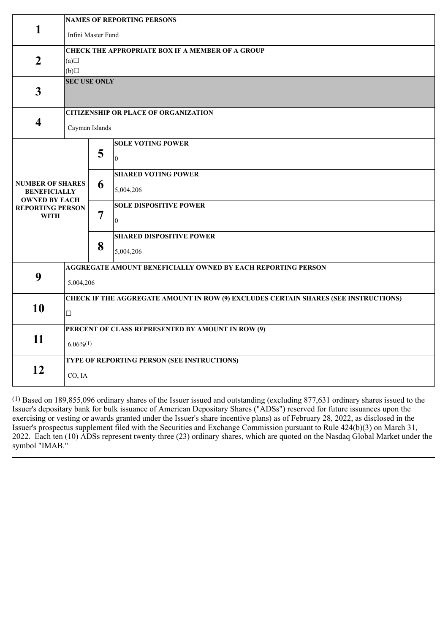|                                                                                                                  | <b>NAMES OF REPORTING PERSONS</b>                                                             |   |                                              |  |
|------------------------------------------------------------------------------------------------------------------|-----------------------------------------------------------------------------------------------|---|----------------------------------------------|--|
| 1                                                                                                                | Infini Master Fund                                                                            |   |                                              |  |
| $\boldsymbol{2}$                                                                                                 | <b>CHECK THE APPROPRIATE BOX IF A MEMBER OF A GROUP</b><br>(a)<br>(b)                         |   |                                              |  |
| $\mathbf{3}$                                                                                                     | <b>SEC USE ONLY</b>                                                                           |   |                                              |  |
| $\overline{\mathbf{4}}$                                                                                          | <b>CITIZENSHIP OR PLACE OF ORGANIZATION</b><br>Cayman Islands                                 |   |                                              |  |
| <b>NUMBER OF SHARES</b><br><b>BENEFICIALLY</b><br><b>OWNED BY EACH</b><br><b>REPORTING PERSON</b><br><b>WITH</b> |                                                                                               | 5 | <b>SOLE VOTING POWER</b><br>$\theta$         |  |
|                                                                                                                  |                                                                                               | 6 | <b>SHARED VOTING POWER</b><br>5,004,206      |  |
|                                                                                                                  |                                                                                               | 7 | <b>SOLE DISPOSITIVE POWER</b><br>$\theta$    |  |
|                                                                                                                  |                                                                                               | 8 | <b>SHARED DISPOSITIVE POWER</b><br>5,004,206 |  |
| 9                                                                                                                | AGGREGATE AMOUNT BENEFICIALLY OWNED BY EACH REPORTING PERSON<br>5,004,206                     |   |                                              |  |
| 10                                                                                                               | CHECK IF THE AGGREGATE AMOUNT IN ROW (9) EXCLUDES CERTAIN SHARES (SEE INSTRUCTIONS)<br>$\Box$ |   |                                              |  |
| 11                                                                                                               | PERCENT OF CLASS REPRESENTED BY AMOUNT IN ROW (9)<br>$6.06\%/1)$                              |   |                                              |  |
| 12                                                                                                               | TYPE OF REPORTING PERSON (SEE INSTRUCTIONS)<br>CO, IA                                         |   |                                              |  |

(1) Based on 189,855,096 ordinary shares of the Issuer issued and outstanding (excluding 877,631 ordinary shares issued to the Issuer's depositary bank for bulk issuance of American Depositary Shares ("ADSs") reserved for future issuances upon the exercising or vesting or awards granted under the Issuer's share incentive plans) as of February 28, 2022, as disclosed in the Issuer's prospectus supplement filed with the Securities and Exchange Commission pursuant to Rule 424(b)(3) on March 31, 2022. Each ten (10) ADSs represent twenty three (23) ordinary shares, which are quoted on the Nasdaq Global Market under the symbol "IMAB."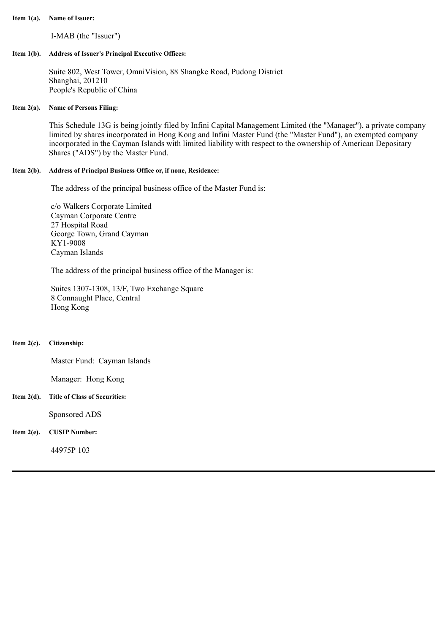#### **Item 1(a). Name of Issuer:**

I-MAB (the "Issuer")

## **Item 1(b). Address of Issuer's Principal Executive Offices:**

Suite 802, West Tower, OmniVision, 88 Shangke Road, Pudong District Shanghai, 201210 People's Republic of China

## **Item 2(a). Name of Persons Filing:**

This Schedule 13G is being jointly filed by Infini Capital Management Limited (the "Manager"), a private company limited by shares incorporated in Hong Kong and Infini Master Fund (the "Master Fund"), an exempted company incorporated in the Cayman Islands with limited liability with respect to the ownership of American Depositary Shares ("ADS") by the Master Fund.

# **Item 2(b). Address of Principal Business Office or, if none, Residence:**

The address of the principal business office of the Master Fund is:

c/o Walkers Corporate Limited Cayman Corporate Centre 27 Hospital Road George Town, Grand Cayman KY1-9008 Cayman Islands

The address of the principal business office of the Manager is:

Suites 1307-1308, 13/F, Two Exchange Square 8 Connaught Place, Central Hong Kong

## **Item 2(c). Citizenship:**

Master Fund: Cayman Islands

Manager: Hong Kong

## **Item 2(d). Title of Class of Securities:**

Sponsored ADS

## **Item 2(e). CUSIP Number:**

44975P 103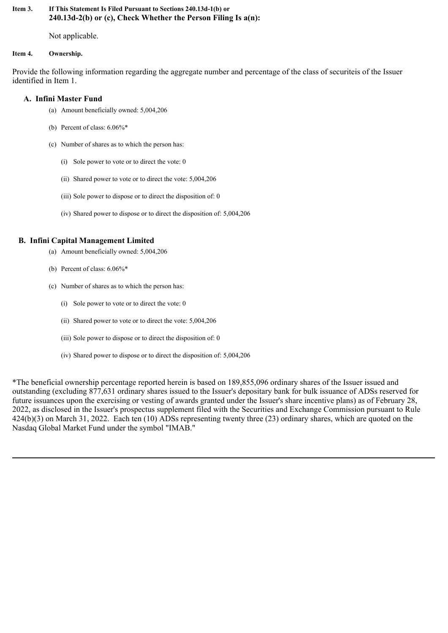# **Item 3. If This Statement Is Filed Pursuant to Sections 240.13d-1(b) or 240.13d-2(b) or (c), Check Whether the Person Filing Is a(n):**

Not applicable.

# **Item 4. Ownership.**

Provide the following information regarding the aggregate number and percentage of the class of securiteis of the Issuer identified in Item 1.

# **A. Infini Master Fund**

- (a) Amount beneficially owned: 5,004,206
- (b) Percent of class: 6.06%\*
- (c) Number of shares as to which the person has:
	- (i) Sole power to vote or to direct the vote: 0
	- (ii) Shared power to vote or to direct the vote: 5,004,206
	- (iii) Sole power to dispose or to direct the disposition of: 0
	- (iv) Shared power to dispose or to direct the disposition of: 5,004,206

# **B. Infini Capital Management Limited**

- (a) Amount beneficially owned: 5,004,206
- (b) Percent of class: 6.06%\*
- (c) Number of shares as to which the person has:
	- (i) Sole power to vote or to direct the vote: 0
	- (ii) Shared power to vote or to direct the vote: 5,004,206
	- (iii) Sole power to dispose or to direct the disposition of: 0
	- (iv) Shared power to dispose or to direct the disposition of: 5,004,206

\*The beneficial ownership percentage reported herein is based on 189,855,096 ordinary shares of the Issuer issued and outstanding (excluding 877,631 ordinary shares issued to the Issuer's depositary bank for bulk issuance of ADSs reserved for future issuances upon the exercising or vesting of awards granted under the Issuer's share incentive plans) as of February 28, 2022, as disclosed in the Issuer's prospectus supplement filed with the Securities and Exchange Commission pursuant to Rule 424(b)(3) on March 31, 2022. Each ten (10) ADSs representing twenty three (23) ordinary shares, which are quoted on the Nasdaq Global Market Fund under the symbol "IMAB."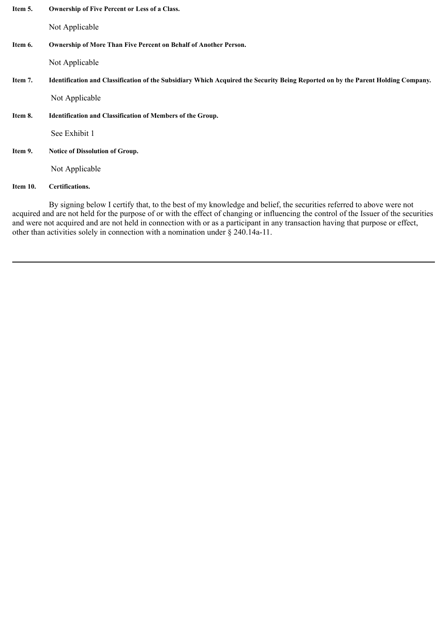| Item 5. | <b>Ownership of Five Percent or Less of a Class.</b> |  |
|---------|------------------------------------------------------|--|
|---------|------------------------------------------------------|--|

Not Applicable

# **Item 6. Ownership of More Than Five Percent on Behalf of Another Person.**

Not Applicable

Item 7. Identification and Classification of the Subsidiary Which Acquired the Security Being Reported on by the Parent Holding Company.

Not Applicable

**Item 8. Identification and Classification of Members of the Group.**

See Exhibit 1

**Item 9. Notice of Dissolution of Group.**

Not Applicable

**Item 10. Certifications.**

By signing below I certify that, to the best of my knowledge and belief, the securities referred to above were not acquired and are not held for the purpose of or with the effect of changing or influencing the control of the Issuer of the securities and were not acquired and are not held in connection with or as a participant in any transaction having that purpose or effect, other than activities solely in connection with a nomination under § 240.14a-11.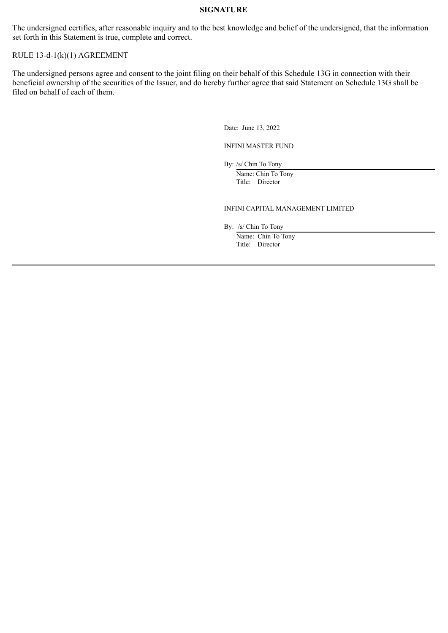# **SIGNATURE**

The undersigned certifies, after reasonable inquiry and to the best knowledge and belief of the undersigned, that the information set forth in this Statement is true, complete and correct.

# RULE 13-d-1(k)(1) AGREEMENT

The undersigned persons agree and consent to the joint filing on their behalf of this Schedule 13G in connection with their beneficial ownership of the securities of the Issuer, and do hereby further agree that said Statement on Schedule 13G shall be filed on behalf of each of them.

Date: June 13, 2022

INFINI MASTER FUND

By: /s/ Chin To Tony

Name: Chin To Tony Title: Director

#### INFINI CAPITAL MANAGEMENT LIMITED

By: /s/ Chin To Tony

Name: Chin To Tony Title: Director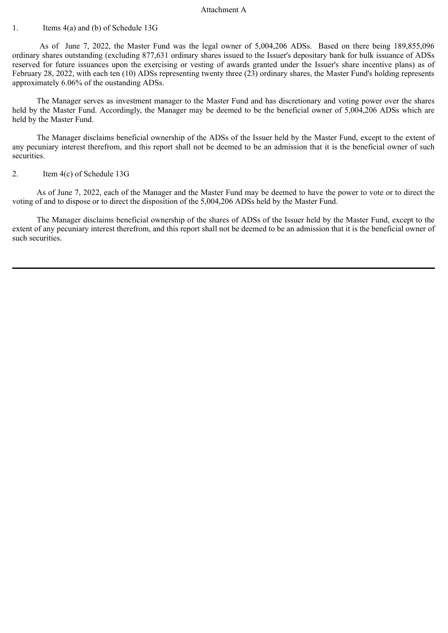#### Attachment A

## 1. Items 4(a) and (b) of Schedule 13G

As of June 7, 2022, the Master Fund was the legal owner of 5,004,206 ADSs. Based on there being 189,855,096 ordinary shares outstanding (excluding 877,631 ordinary shares issued to the Issuer's depositary bank for bulk issuance of ADSs reserved for future issuances upon the exercising or vesting of awards granted under the Issuer's share incentive plans) as of February 28, 2022, with each ten (10) ADSs representing twenty three (23) ordinary shares, the Master Fund's holding represents approximately 6.06% of the oustanding ADSs.

The Manager serves as investment manager to the Master Fund and has discretionary and voting power over the shares held by the Master Fund. Accordingly, the Manager may be deemed to be the beneficial owner of 5,004,206 ADSs which are held by the Master Fund.

The Manager disclaims beneficial ownership of the ADSs of the Issuer held by the Master Fund, except to the extent of any pecuniary interest therefrom, and this report shall not be deemed to be an admission that it is the beneficial owner of such securities.

# 2. Item 4(c) of Schedule 13G

As of June 7, 2022, each of the Manager and the Master Fund may be deemed to have the power to vote or to direct the voting of and to dispose or to direct the disposition of the 5,004,206 ADSs held by the Master Fund.

The Manager disclaims beneficial ownership of the shares of ADSs of the Issuer held by the Master Fund, except to the extent of any pecuniary interest therefrom, and this report shall not be deemed to be an admission that it is the beneficial owner of such securities.